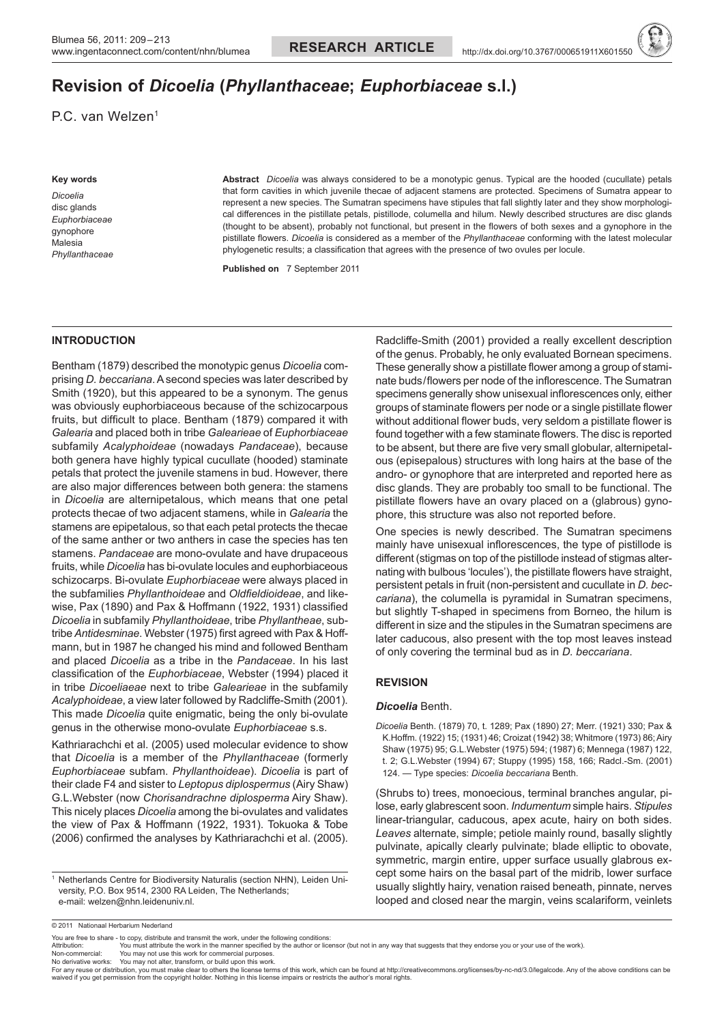# **Revision of** *Dicoelia* **(***Phyllanthaceae***;** *Euphorbiaceae* **s.l.)**

P.C. van Welzen<sup>1</sup>

#### **Key words**

*Dicoelia* disc glands *Euphorbiaceae* gynophore Malesia *Phyllanthaceae* **Abstract** *Dicoelia* was always considered to be a monotypic genus. Typical are the hooded (cucullate) petals that form cavities in which juvenile thecae of adjacent stamens are protected. Specimens of Sumatra appear to represent a new species. The Sumatran specimens have stipules that fall slightly later and they show morphological differences in the pistillate petals, pistillode, columella and hilum. Newly described structures are disc glands (thought to be absent), probably not functional, but present in the flowers of both sexes and a gynophore in the pistillate flowers. *Dicoelia* is considered as a member of the *Phyllanthaceae* conforming with the latest molecular phylogenetic results; a classification that agrees with the presence of two ovules per locule.

**Published on** 7 September 2011

## **INTRODUCTION**

Bentham (1879) described the monotypic genus *Dicoelia* comprising *D. beccariana*. A second species was later described by Smith (1920), but this appeared to be a synonym. The genus was obviously euphorbiaceous because of the schizocarpous fruits, but difficult to place. Bentham (1879) compared it with *Galearia* and placed both in tribe *Galearieae* of *Euphorbiaceae* subfamily *Acalyphoideae* (nowadays *Pandaceae*), because both genera have highly typical cucullate (hooded) staminate petals that protect the juvenile stamens in bud. However, there are also major differences between both genera: the stamens in *Dicoelia* are alternipetalous, which means that one petal protects thecae of two adjacent stamens, while in *Galearia* the stamens are epipetalous, so that each petal protects the thecae of the same anther or two anthers in case the species has ten stamens. *Pandaceae* are mono-ovulate and have drupaceous fruits, while *Dicoelia* has bi-ovulate locules and euphorbiaceous schizocarps. Bi-ovulate *Euphorbiaceae* were always placed in the subfamilies *Phyllanthoideae* and *Oldfieldioideae*, and likewise, Pax (1890) and Pax & Hoffmann (1922, 1931) classified *Dicoelia* in subfamily *Phyllanthoideae*, tribe *Phyllantheae*, subtribe *Antidesminae*. Webster (1975) first agreed with Pax & Hoffmann, but in 1987 he changed his mind and followed Bentham and placed *Dicoelia* as a tribe in the *Pandaceae*. In his last classification of the *Euphorbiaceae*, Webster (1994) placed it in tribe *Dicoeliaeae* next to tribe *Galearieae* in the subfamily *Acalyphoideae*, a view later followed by Radcliffe-Smith (2001). This made *Dicoelia* quite enigmatic, being the only bi-ovulate genus in the otherwise mono-ovulate *Euphorbiaceae* s.s.

Kathriarachchi et al. (2005) used molecular evidence to show that *Dicoelia* is a member of the *Phyllanthaceae* (formerly *Euphorbiaceae* subfam. *Phyllanthoideae*). *Dicoelia* is part of their clade F4 and sister to *Leptopus diplospermus* (Airy Shaw) G.L.Webster (now *Chorisandrachne diplosperma* Airy Shaw). This nicely places *Dicoelia* among the bi-ovulates and validates the view of Pax & Hoffmann (1922, 1931). Tokuoka & Tobe (2006) confirmed the analyses by Kathriarachchi et al. (2005).

<sup>1</sup> Netherlands Centre for Biodiversity Naturalis (section NHN), Leiden University, P.O. Box 9514, 2300 RA Leiden, The Netherlands; e-mail: welzen@nhn.leidenuniv.nl.

Radcliffe-Smith (2001) provided a really excellent description of the genus. Probably, he only evaluated Bornean specimens. These generally show a pistillate flower among a group of staminate buds/flowers per node of the inflorescence. The Sumatran specimens generally show unisexual inflorescences only, either groups of staminate flowers per node or a single pistillate flower without additional flower buds, very seldom a pistillate flower is found together with a few staminate flowers. The disc is reported to be absent, but there are five very small globular, alternipetalous (episepalous) structures with long hairs at the base of the andro- or gynophore that are interpreted and reported here as disc glands. They are probably too small to be functional. The pistillate flowers have an ovary placed on a (glabrous) gynophore, this structure was also not reported before.

One species is newly described. The Sumatran specimens mainly have unisexual inflorescences, the type of pistillode is different (stigmas on top of the pistillode instead of stigmas alternating with bulbous 'locules'), the pistillate flowers have straight, persistent petals in fruit (non-persistent and cucullate in *D. beccariana*), the columella is pyramidal in Sumatran specimens, but slightly T-shaped in specimens from Borneo, the hilum is different in size and the stipules in the Sumatran specimens are later caducous, also present with the top most leaves instead of only covering the terminal bud as in *D. beccariana*.

## **REVISION**

## *Dicoelia* Benth.

*Dicoelia* Benth. (1879) 70, t. 1289; Pax (1890) 27; Merr. (1921) 330; Pax & K.Hoffm. (1922) 15; (1931) 46; Croizat (1942) 38; Whitmore (1973) 86; Airy Shaw (1975) 95; G.L.Webster (1975) 594; (1987) 6; Mennega (1987) 122, t. 2; G.L.Webster (1994) 67; Stuppy (1995) 158, 166; Radcl.-Sm. (2001) 124. — Type species: *Dicoelia beccariana* Benth.

(Shrubs to) trees, monoecious, terminal branches angular, pilose, early glabrescent soon. *Indumentum* simple hairs. *Stipules* linear-triangular, caducous, apex acute, hairy on both sides. *Leaves* alternate, simple; petiole mainly round, basally slightly pulvinate, apically clearly pulvinate; blade elliptic to obovate, symmetric, margin entire, upper surface usually glabrous except some hairs on the basal part of the midrib, lower surface usually slightly hairy, venation raised beneath, pinnate, nerves looped and closed near the margin, veins scalariform, veinlets

<sup>© 2011</sup> Nationaal Herbarium Nederland

You are free to share - to copy, distribute and transmit the work, under the following conditions<br>Attribution: You must attribute the work in the manner specified by the author or lice

You must attribute the work in the manner specified by the author or licensor (but not in any way that suggests that they endorse you or your use of the work).

Non-commercial: You may not use this work for commercial purposes.<br>No derivative works: You may not alter, transform, or build upon this work.<br>For any reuse or distribution, you must make clear to others the tlicense ter waived if you get permission from the copyright holder. Nothing in this license impairs or restricts the author's moral rights.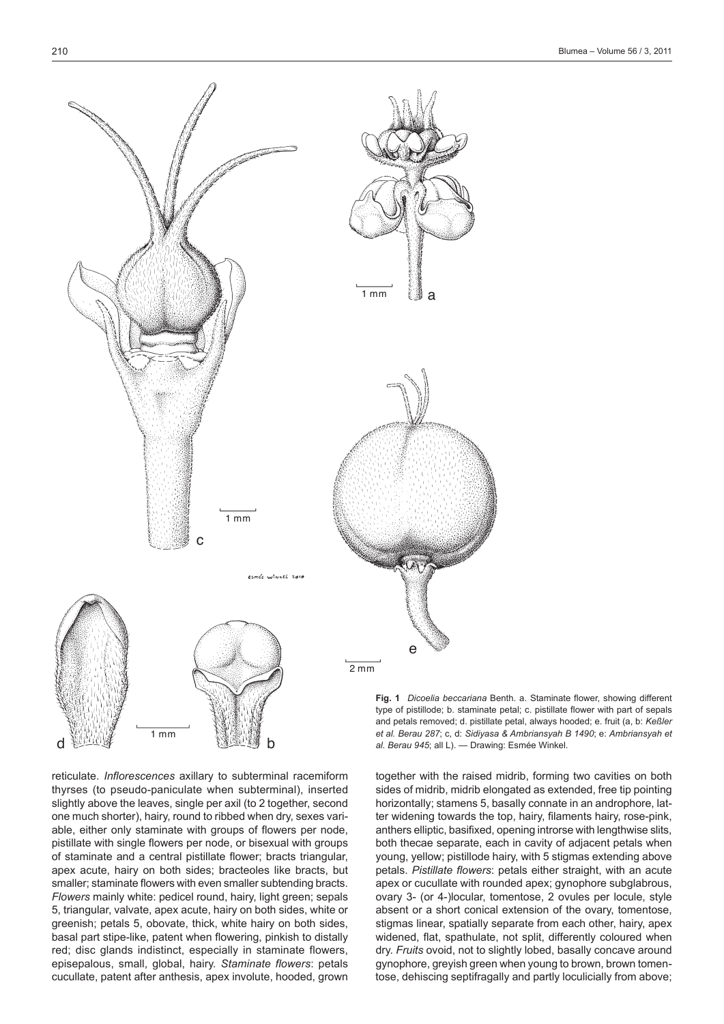

reticulate. *Inflorescences* axillary to subterminal racemiform thyrses (to pseudo-paniculate when subterminal), inserted slightly above the leaves, single per axil (to 2 together, second one much shorter), hairy, round to ribbed when dry, sexes variable, either only staminate with groups of flowers per node, pistillate with single flowers per node, or bisexual with groups of staminate and a central pistillate flower; bracts triangular, apex acute, hairy on both sides; bracteoles like bracts, but smaller; staminate flowers with even smaller subtending bracts. *Flowers* mainly white: pedicel round, hairy, light green; sepals 5, triangular, valvate, apex acute, hairy on both sides, white or greenish; petals 5, obovate, thick, white hairy on both sides, basal part stipe-like, patent when flowering, pinkish to distally red; disc glands indistinct, especially in staminate flowers, episepalous, small, global, hairy. *Staminate flowers*: petals cucullate, patent after anthesis, apex involute, hooded, grown

d france. The contract of the second p

1 mm

**Fig. 1** *Dicoelia beccariana* Benth. a. Staminate flower, showing different type of pistillode; b. staminate petal; c. pistillate flower with part of sepals and petals removed; d. pistillate petal, always hooded; e. fruit (a, b: *Keßler et al. Berau 287*; c, d: *Sidiyasa & Ambriansyah B 1490*; e: *Ambriansyah et al. Berau 945*; all L). — Drawing: Esmée Winkel.

together with the raised midrib, forming two cavities on both sides of midrib, midrib elongated as extended, free tip pointing horizontally; stamens 5, basally connate in an androphore, latter widening towards the top, hairy, filaments hairy, rose-pink, anthers elliptic, basifixed, opening introrse with lengthwise slits, both thecae separate, each in cavity of adjacent petals when young, yellow; pistillode hairy, with 5 stigmas extending above petals. *Pistillate flowers*: petals either straight, with an acute apex or cucullate with rounded apex; gynophore subglabrous, ovary 3- (or 4-)locular, tomentose, 2 ovules per locule, style absent or a short conical extension of the ovary, tomentose, stigmas linear, spatially separate from each other, hairy, apex widened, flat, spathulate, not split, differently coloured when dry. *Fruits* ovoid, not to slightly lobed, basally concave around gynophore, greyish green when young to brown, brown tomentose, dehiscing septifragally and partly loculicially from above;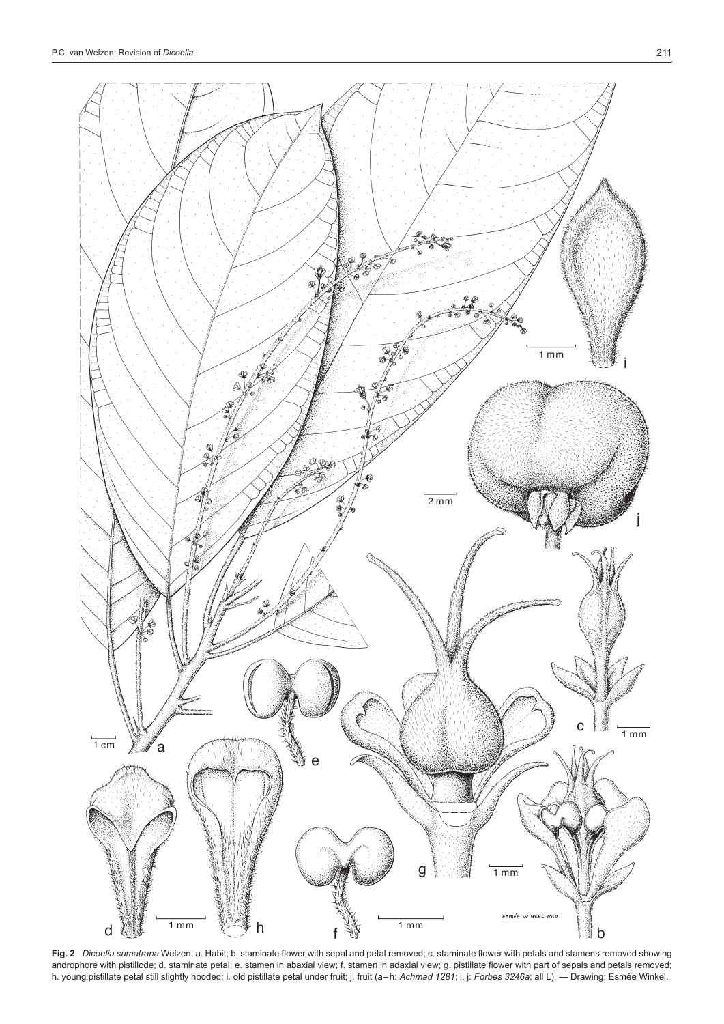



**Fig. 2** *Dicoelia sumatrana* Welzen. a. Habit; b. staminate flower with sepal and petal removed; c. staminate flower with petals and stamens removed showing androphore with pistillode; d. staminate petal; e. stamen in abaxial view; f. stamen in adaxial view; g. pistillate flower with part of sepals and petals removed; h. young pistillate petal still slightly hooded; i. old pistillate petal under fruit; j. fruit (a–h: *Achmad 1281*; i, j: *Forbes 3246a*; all L). — Drawing: Esmée Winkel.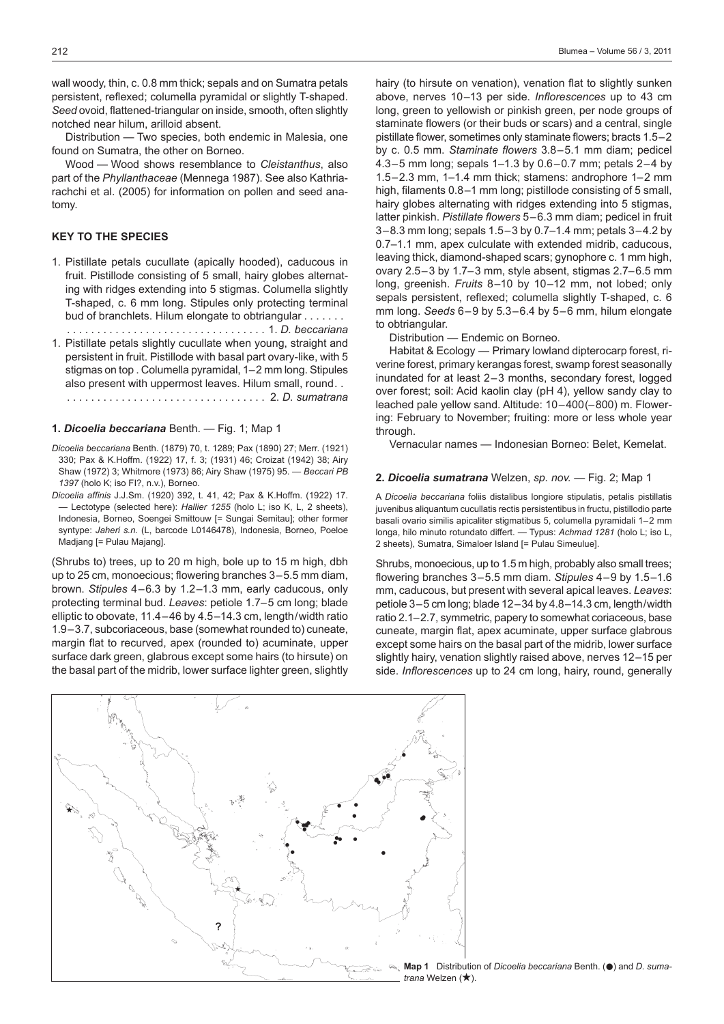wall woody, thin, c. 0.8 mm thick; sepals and on Sumatra petals persistent, reflexed; columella pyramidal or slightly T-shaped. *Seed* ovoid, flattened-triangular on inside, smooth, often slightly notched near hilum, arilloid absent.

Distribution — Two species, both endemic in Malesia, one found on Sumatra, the other on Borneo.

Wood — Wood shows resemblance to *Cleistanthus*, also part of the *Phyllanthaceae* (Mennega 1987). See also Kathriarachchi et al. (2005) for information on pollen and seed anatomy.

# **KEY TO THE SPECIES**

1. Pistillate petals cucullate (apically hooded), caducous in fruit. Pistillode consisting of 5 small, hairy globes alternating with ridges extending into 5 stigmas. Columella slightly T-shaped, c. 6 mm long. Stipules only protecting terminal bud of branchlets. Hilum elongate to obtriangular . . . . . . .

. . 1. *D. beccariana*

1. Pistillate petals slightly cucullate when young, straight and persistent in fruit. Pistillode with basal part ovary-like, with 5 stigmas on top . Columella pyramidal, 1–2 mm long. Stipules also present with uppermost leaves. Hilum small, round... . . 2. *D. sumatrana*

#### **1.** *Dicoelia beccariana* Benth. — Fig. 1; Map 1

- *Dicoelia beccariana* Benth. (1879) 70, t. 1289; Pax (1890) 27; Merr. (1921) 330; Pax & K.Hoffm. (1922) 17, f. 3; (1931) 46; Croizat (1942) 38; Airy Shaw (1972) 3; Whitmore (1973) 86; Airy Shaw (1975) 95. — *Beccari PB 1397* (holo K; iso FI?, n.v.), Borneo.
- *Dicoelia affinis* J.J.Sm. (1920) 392, t. 41, 42; Pax & K.Hoffm. (1922) 17. — Lectotype (selected here): *Hallier 1255* (holo L; iso K, L, 2 sheets), Indonesia, Borneo, Soengei Smittouw [= Sungai Semitau]; other former syntype: *Jaheri s.n.* (L, barcode L0146478), Indonesia, Borneo, Poeloe Madjang [= Pulau Majang].

(Shrubs to) trees, up to 20 m high, bole up to 15 m high, dbh up to 25 cm, monoecious; flowering branches 3–5.5 mm diam, brown. *Stipules* 4–6.3 by 1.2–1.3 mm, early caducous, only protecting terminal bud. *Leaves*: petiole 1.7–5 cm long; blade elliptic to obovate, 11.4–46 by 4.5–14.3 cm, length/width ratio 1.9–3.7, subcoriaceous, base (somewhat rounded to) cuneate, margin flat to recurved, apex (rounded to) acuminate, upper surface dark green, glabrous except some hairs (to hirsute) on the basal part of the midrib, lower surface lighter green, slightly

hairy (to hirsute on venation), venation flat to slightly sunken above, nerves 10–13 per side. *Inflorescences* up to 43 cm long, green to yellowish or pinkish green, per node groups of staminate flowers (or their buds or scars) and a central, single pistillate flower, sometimes only staminate flowers; bracts 1.5–2 by c. 0.5 mm. *Staminate flowers* 3.8–5.1 mm diam; pedicel 4.3–5 mm long; sepals 1–1.3 by 0.6–0.7 mm; petals 2–4 by 1.5–2.3 mm, 1–1.4 mm thick; stamens: androphore 1–2 mm high, filaments 0.8–1 mm long; pistillode consisting of 5 small, hairy globes alternating with ridges extending into 5 stigmas, latter pinkish. *Pistillate flowers* 5–6.3 mm diam; pedicel in fruit 3–8.3 mm long; sepals 1.5–3 by 0.7–1.4 mm; petals 3–4.2 by 0.7–1.1 mm, apex culculate with extended midrib, caducous, leaving thick, diamond-shaped scars; gynophore c. 1 mm high, ovary 2.5–3 by 1.7–3 mm, style absent, stigmas 2.7–6.5 mm long, greenish. *Fruits* 8–10 by 10–12 mm, not lobed; only sepals persistent, reflexed; columella slightly T-shaped, c. 6 mm long. *Seeds* 6–9 by 5.3–6.4 by 5–6 mm, hilum elongate to obtriangular.

Distribution — Endemic on Borneo.

Habitat & Ecology — Primary lowland dipterocarp forest, riverine forest, primary kerangas forest, swamp forest seasonally inundated for at least 2–3 months, secondary forest, logged over forest; soil: Acid kaolin clay (pH 4), yellow sandy clay to leached pale yellow sand. Altitude: 10–400(–800) m. Flowering: February to November; fruiting: more or less whole year through.

Vernacular names — Indonesian Borneo: Belet, Kemelat.

## **2.** *Dicoelia sumatrana* Welzen, *sp. nov.* — Fig. 2; Map 1

A *Dicoelia beccariana* foliis distalibus longiore stipulatis, petalis pistillatis juvenibus aliquantum cucullatis rectis persistentibus in fructu, pistillodio parte basali ovario similis apicaliter stigmatibus 5, columella pyramidali 1–2 mm longa, hilo minuto rotundato differt. — Typus: *Achmad 1281* (holo L; iso L, 2 sheets), Sumatra, Simaloer Island [= Pulau Simeulue].

Shrubs, monoecious, up to 1.5 m high, probably also small trees; flowering branches 3–5.5 mm diam. *Stipules* 4–9 by 1.5–1.6 mm, caducous, but present with several apical leaves. *Leaves*: petiole 3–5 cm long; blade 12–34 by 4.8–14.3 cm, length/width ratio 2.1–2.7, symmetric, papery to somewhat coriaceous, base cuneate, margin flat, apex acuminate, upper surface glabrous except some hairs on the basal part of the midrib, lower surface slightly hairy, venation slightly raised above, nerves 12–15 per side. *Inflorescences* up to 24 cm long, hairy, round, generally



**Map 1** Distribution of *Dicoelia beccariana* Benth. ( $\bullet$ ) and *D. sumatrana* Welzen ( $\star$ ).